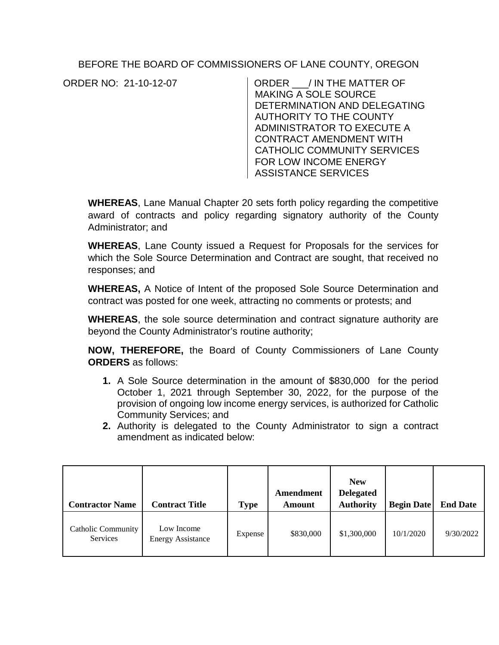BEFORE THE BOARD OF COMMISSIONERS OF LANE COUNTY, OREGON

ORDER NO: 21-10-12-07 ORDER \_\_\_/ IN THE MATTER OF MAKING A SOLE SOURCE DETERMINATION AND DELEGATING AUTHORITY TO THE COUNTY ADMINISTRATOR TO EXECUTE A CONTRACT AMENDMENT WITH CATHOLIC COMMUNITY SERVICES FOR LOW INCOME ENERGY ASSISTANCE SERVICES

**WHEREAS**, Lane Manual Chapter 20 sets forth policy regarding the competitive award of contracts and policy regarding signatory authority of the County Administrator; and

**WHEREAS**, Lane County issued a Request for Proposals for the services for which the Sole Source Determination and Contract are sought, that received no responses; and

**WHEREAS,** A Notice of Intent of the proposed Sole Source Determination and contract was posted for one week, attracting no comments or protests; and

**WHEREAS**, the sole source determination and contract signature authority are beyond the County Administrator's routine authority;

**NOW, THEREFORE,** the Board of County Commissioners of Lane County **ORDERS** as follows:

- **1.** A Sole Source determination in the amount of \$830,000 for the period October 1, 2021 through September 30, 2022, for the purpose of the provision of ongoing low income energy services, is authorized for Catholic Community Services; and
- **2.** Authority is delegated to the County Administrator to sign a contract amendment as indicated below:

| <b>Contractor Name</b>                | <b>Contract Title</b>                  | <b>Type</b> | Amendment<br><b>Amount</b> | <b>New</b><br><b>Delegated</b><br><b>Authority</b> | <b>Begin Date</b> | <b>End Date</b> |
|---------------------------------------|----------------------------------------|-------------|----------------------------|----------------------------------------------------|-------------------|-----------------|
| <b>Catholic Community</b><br>Services | Low Income<br><b>Energy Assistance</b> | Expense     | \$830,000                  | \$1,300,000                                        | 10/1/2020         | 9/30/2022       |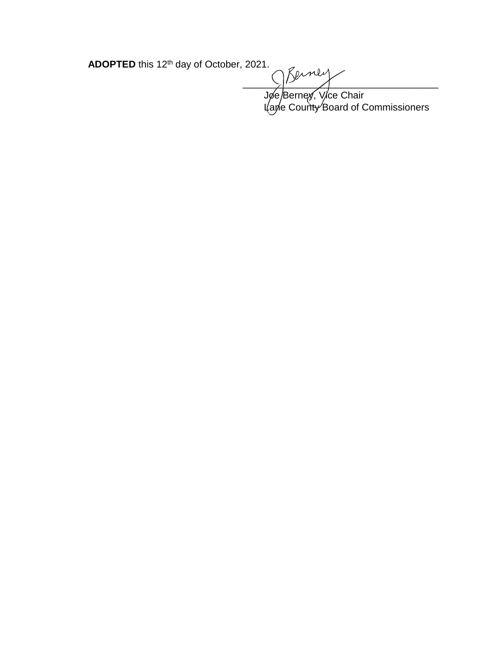**ADOPTED** this 12th day of October, 2021.

 $\frac{1}{2}$ Jøe/Berney, Vice Chair

L(ane County Board of Commissioners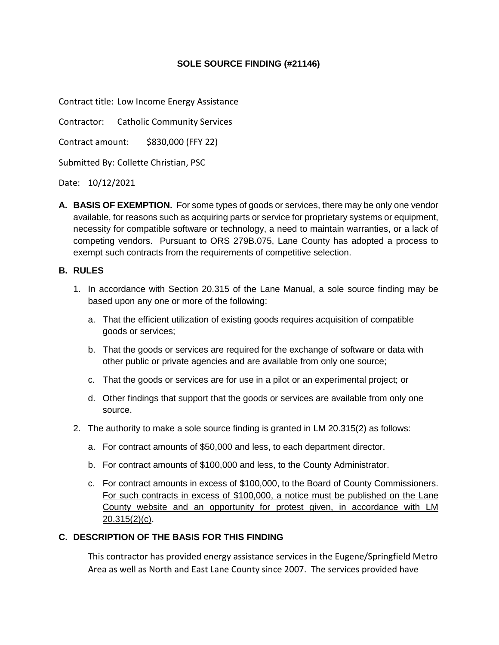### **SOLE SOURCE FINDING (#21146)**

Contract title: Low Income Energy Assistance

Contractor: Catholic Community Services

Contract amount: \$830,000 (FFY 22)

Submitted By: Collette Christian, PSC

Date: 10/12/2021

**A. BASIS OF EXEMPTION.** For some types of goods or services, there may be only one vendor available, for reasons such as acquiring parts or service for proprietary systems or equipment, necessity for compatible software or technology, a need to maintain warranties, or a lack of competing vendors. Pursuant to ORS 279B.075, Lane County has adopted a process to exempt such contracts from the requirements of competitive selection.

#### **B. RULES**

- 1. In accordance with Section 20.315 of the Lane Manual, a sole source finding may be based upon any one or more of the following:
	- a. That the efficient utilization of existing goods requires acquisition of compatible goods or services;
	- b. That the goods or services are required for the exchange of software or data with other public or private agencies and are available from only one source;
	- c. That the goods or services are for use in a pilot or an experimental project; or
	- d. Other findings that support that the goods or services are available from only one source.
- 2. The authority to make a sole source finding is granted in LM 20.315(2) as follows:
	- a. For contract amounts of \$50,000 and less, to each department director.
	- b. For contract amounts of \$100,000 and less, to the County Administrator.
	- c. For contract amounts in excess of \$100,000, to the Board of County Commissioners. For such contracts in excess of \$100,000, a notice must be published on the Lane County website and an opportunity for protest given, in accordance with LM 20.315(2)(c).

## **C. DESCRIPTION OF THE BASIS FOR THIS FINDING**

This contractor has provided energy assistance services in the Eugene/Springfield Metro Area as well as North and East Lane County since 2007. The services provided have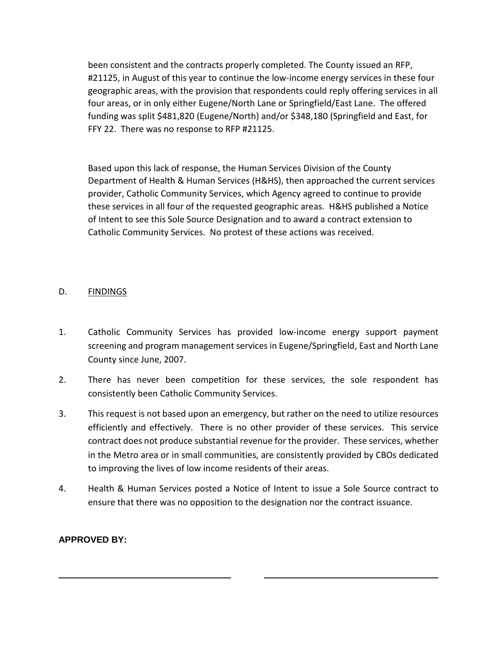been consistent and the contracts properly completed. The County issued an RFP, #21125, in August of this year to continue the low-income energy services in these four geographic areas, with the provision that respondents could reply offering services in all four areas, or in only either Eugene/North Lane or Springfield/East Lane. The offered funding was split \$481,820 (Eugene/North) and/or \$348,180 (Springfield and East, for FFY 22. There was no response to RFP #21125.

Based upon this lack of response, the Human Services Division of the County Department of Health & Human Services (H&HS), then approached the current services provider, Catholic Community Services, which Agency agreed to continue to provide these services in all four of the requested geographic areas. H&HS published a Notice of Intent to see this Sole Source Designation and to award a contract extension to Catholic Community Services. No protest of these actions was received.

## D. FINDINGS

- 1. Catholic Community Services has provided low-income energy support payment screening and program management services in Eugene/Springfield, East and North Lane County since June, 2007.
- 2. There has never been competition for these services, the sole respondent has consistently been Catholic Community Services.
- 3. This request is not based upon an emergency, but rather on the need to utilize resources efficiently and effectively. There is no other provider of these services. This service contract does not produce substantial revenue for the provider. These services, whether in the Metro area or in small communities, are consistently provided by CBOs dedicated to improving the lives of low income residents of their areas.
- 4. Health & Human Services posted a Notice of Intent to issue a Sole Source contract to ensure that there was no opposition to the designation nor the contract issuance.

# **APPROVED BY:**